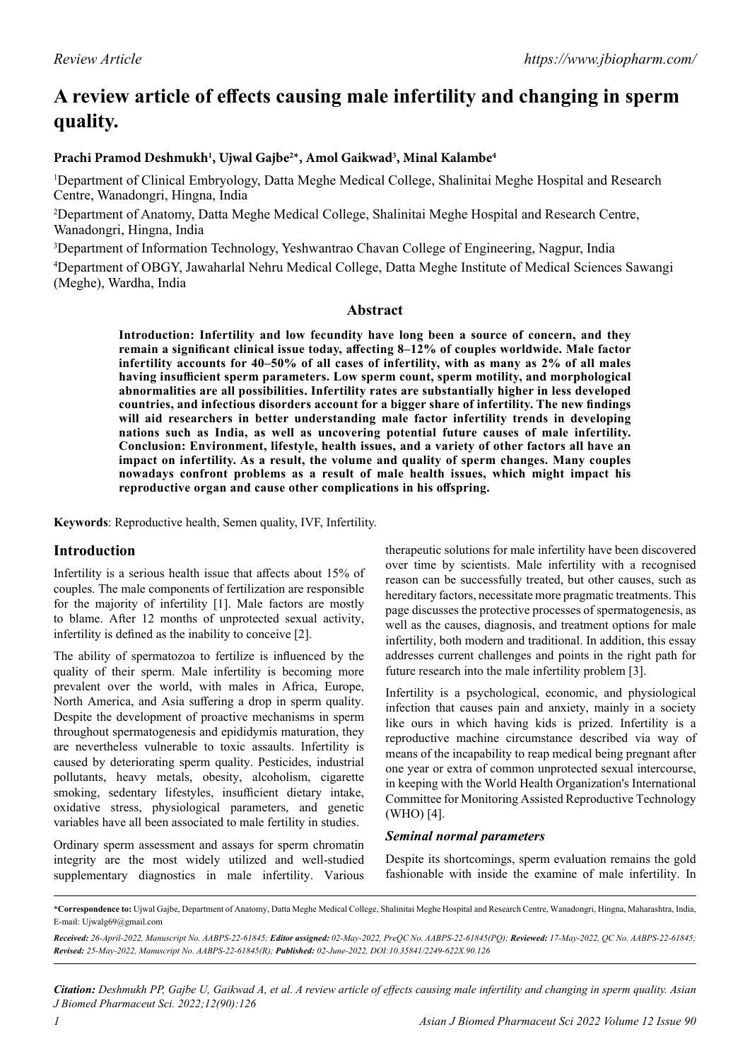# **A review article of effects causing male infertility and changing in sperm quality.**

# **Prachi Pramod Deshmukh1 , Ujwal Gajbe2 \*, Amol Gaikwad3 , Minal Kalambe4**

1 Department of Clinical Embryology, Datta Meghe Medical College, Shalinitai Meghe Hospital and Research Centre, Wanadongri, Hingna, India

<sup>2</sup>Department of Anatomy, Datta Meghe Medical College, Shalinitai Meghe Hospital and Research Centre, Wanadongri, Hingna, India

3 Department of Information Technology, Yeshwantrao Chavan College of Engineering, Nagpur, India

4 Department of OBGY, Jawaharlal Nehru Medical College, Datta Meghe Institute of Medical Sciences Sawangi (Meghe), Wardha, India

## **Abstract**

**Introduction: Infertility and low fecundity have long been a source of concern, and they remain a significant clinical issue today, affecting 8–12% of couples worldwide. Male factor infertility accounts for 40–50% of all cases of infertility, with as many as 2% of all males having insufficient sperm parameters. Low sperm count, sperm motility, and morphological abnormalities are all possibilities. Infertility rates are substantially higher in less developed countries, and infectious disorders account for a bigger share of infertility. The new findings will aid researchers in better understanding male factor infertility trends in developing nations such as India, as well as uncovering potential future causes of male infertility. Conclusion: Environment, lifestyle, health issues, and a variety of other factors all have an impact on infertility. As a result, the volume and quality of sperm changes. Many couples nowadays confront problems as a result of male health issues, which might impact his reproductive organ and cause other complications in his offspring.**

**Keywords**: Reproductive health, Semen quality, IVF, Infertility.

# **Introduction**

Infertility is a serious health issue that affects about 15% of couples. The male components of fertilization are responsible for the majority of infertility [1]. Male factors are mostly to blame. After 12 months of unprotected sexual activity, infertility is defined as the inability to conceive [2].

The ability of spermatozoa to fertilize is influenced by the quality of their sperm. Male infertility is becoming more prevalent over the world, with males in Africa, Europe, North America, and Asia suffering a drop in sperm quality. Despite the development of proactive mechanisms in sperm throughout spermatogenesis and epididymis maturation, they are nevertheless vulnerable to toxic assaults. Infertility is caused by deteriorating sperm quality. Pesticides, industrial pollutants, heavy metals, obesity, alcoholism, cigarette smoking, sedentary lifestyles, insufficient dietary intake, oxidative stress, physiological parameters, and genetic variables have all been associated to male fertility in studies.

Ordinary sperm assessment and assays for sperm chromatin integrity are the most widely utilized and well-studied supplementary diagnostics in male infertility. Various

therapeutic solutions for male infertility have been discovered over time by scientists. Male infertility with a recognised reason can be successfully treated, but other causes, such as hereditary factors, necessitate more pragmatic treatments. This page discusses the protective processes of spermatogenesis, as well as the causes, diagnosis, and treatment options for male infertility, both modern and traditional. In addition, this essay addresses current challenges and points in the right path for future research into the male infertility problem [3].

Infertility is a psychological, economic, and physiological infection that causes pain and anxiety, mainly in a society like ours in which having kids is prized. Infertility is a reproductive machine circumstance described via way of means of the incapability to reap medical being pregnant after one year or extra of common unprotected sexual intercourse, in keeping with the World Health Organization's International Committee for Monitoring Assisted Reproductive Technology (WHO) [4].

#### *Seminal normal parameters*

Despite its shortcomings, sperm evaluation remains the gold fashionable with inside the examine of male infertility. In

*Citation: Deshmukh PP, Gajbe U, Gaikwad A, et al. A review article of effects causing male infertility and changing in sperm quality. Asian J Biomed Pharmaceut Sci. 2022;12(90):126*

**<sup>\*</sup>Correspondence to:** Ujwal Gajbe, Department of Anatomy, Datta Meghe Medical College, Shalinitai Meghe Hospital and Research Centre, Wanadongri, Hingna, Maharashtra, India, E-mail: Ujwalg69@gmail.com

*Received: 26-April-2022, Manuscript No. AABPS-22-61845; Editor assigned: 02-May-2022, PreQC No. AABPS-22-61845(PQ); Reviewed: 17-May-2022, QC No. AABPS-22-61845; Revised: 25-May-2022, Manuscript No. AABPS-22-61845(R); Published: 02-June-2022, DOI:10.35841/2249-622X.90.126*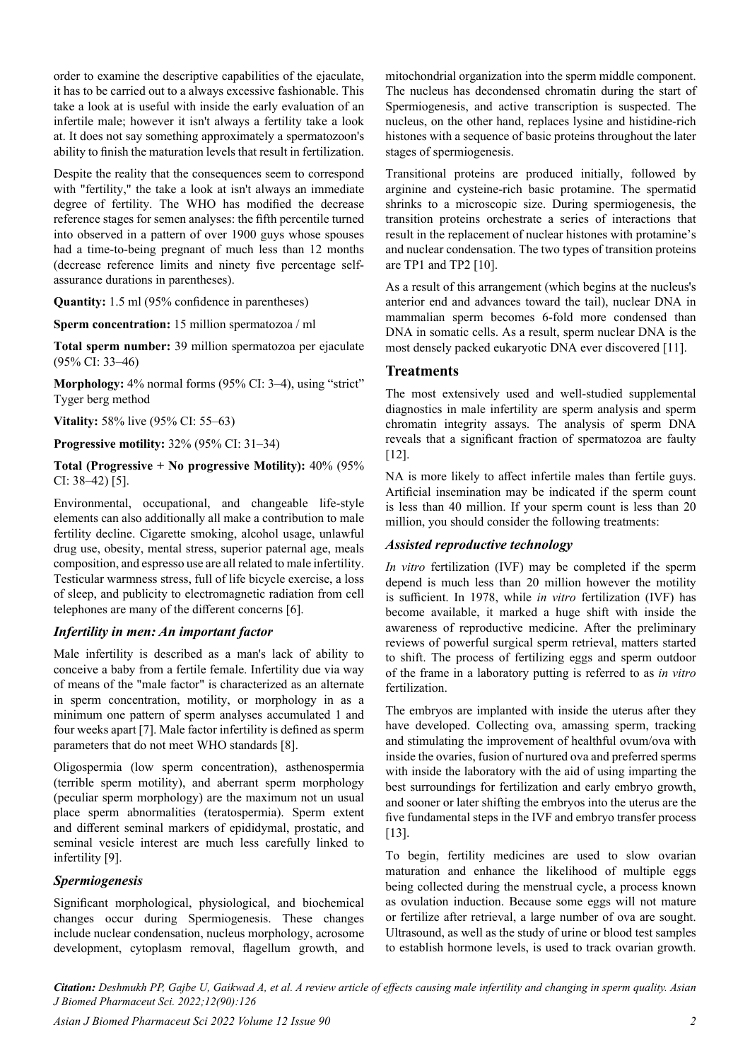order to examine the descriptive capabilities of the ejaculate, it has to be carried out to a always excessive fashionable. This take a look at is useful with inside the early evaluation of an infertile male; however it isn't always a fertility take a look at. It does not say something approximately a spermatozoon's ability to finish the maturation levels that result in fertilization.

Despite the reality that the consequences seem to correspond with "fertility," the take a look at isn't always an immediate degree of fertility. The WHO has modified the decrease reference stages for semen analyses: the fifth percentile turned into observed in a pattern of over 1900 guys whose spouses had a time-to-being pregnant of much less than 12 months (decrease reference limits and ninety five percentage selfassurance durations in parentheses).

**Quantity:** 1.5 ml (95% confidence in parentheses)

**Sperm concentration:** 15 million spermatozoa / ml

**Total sperm number:** 39 million spermatozoa per ejaculate (95% CI: 33–46)

**Morphology:** 4% normal forms (95% CI: 3–4), using "strict" Tyger berg method

**Vitality:** 58% live (95% CI: 55–63)

**Progressive motility:** 32% (95% CI: 31–34)

**Total (Progressive + No progressive Motility):** 40% (95% CI: 38–42) [5].

Environmental, occupational, and changeable life-style elements can also additionally all make a contribution to male fertility decline. Cigarette smoking, alcohol usage, unlawful drug use, obesity, mental stress, superior paternal age, meals composition, and espresso use are all related to male infertility. Testicular warmness stress, full of life bicycle exercise, a loss of sleep, and publicity to electromagnetic radiation from cell telephones are many of the different concerns [6].

#### *Infertility in men: An important factor*

Male infertility is described as a man's lack of ability to conceive a baby from a fertile female. Infertility due via way of means of the "male factor" is characterized as an alternate in sperm concentration, motility, or morphology in as a minimum one pattern of sperm analyses accumulated 1 and four weeks apart [7]. Male factor infertility is defined as sperm parameters that do not meet WHO standards [8].

Oligospermia (low sperm concentration), asthenospermia (terrible sperm motility), and aberrant sperm morphology (peculiar sperm morphology) are the maximum not un usual place sperm abnormalities (teratospermia). Sperm extent and different seminal markers of epididymal, prostatic, and seminal vesicle interest are much less carefully linked to infertility [9].

## *Spermiogenesis*

Significant morphological, physiological, and biochemical changes occur during Spermiogenesis. These changes include nuclear condensation, nucleus morphology, acrosome development, cytoplasm removal, flagellum growth, and mitochondrial organization into the sperm middle component. The nucleus has decondensed chromatin during the start of Spermiogenesis, and active transcription is suspected. The nucleus, on the other hand, replaces lysine and histidine-rich histones with a sequence of basic proteins throughout the later stages of spermiogenesis.

Transitional proteins are produced initially, followed by arginine and cysteine-rich basic protamine. The spermatid shrinks to a microscopic size. During spermiogenesis, the transition proteins orchestrate a series of interactions that result in the replacement of nuclear histones with protamine's and nuclear condensation. The two types of transition proteins are TP1 and TP2 [10].

As a result of this arrangement (which begins at the nucleus's anterior end and advances toward the tail), nuclear DNA in mammalian sperm becomes 6-fold more condensed than DNA in somatic cells. As a result, sperm nuclear DNA is the most densely packed eukaryotic DNA ever discovered [11].

#### **Treatments**

The most extensively used and well-studied supplemental diagnostics in male infertility are sperm analysis and sperm chromatin integrity assays. The analysis of sperm DNA reveals that a significant fraction of spermatozoa are faulty [12].

NA is more likely to affect infertile males than fertile guys. Artificial insemination may be indicated if the sperm count is less than 40 million. If your sperm count is less than 20 million, you should consider the following treatments:

#### *Assisted reproductive technology*

*In vitro* fertilization (IVF) may be completed if the sperm depend is much less than 20 million however the motility is sufficient. In 1978, while *in vitro* fertilization (IVF) has become available, it marked a huge shift with inside the awareness of reproductive medicine. After the preliminary reviews of powerful surgical sperm retrieval, matters started to shift. The process of fertilizing eggs and sperm outdoor of the frame in a laboratory putting is referred to as *in vitro* fertilization.

The embryos are implanted with inside the uterus after they have developed. Collecting ova, amassing sperm, tracking and stimulating the improvement of healthful ovum/ova with inside the ovaries, fusion of nurtured ova and preferred sperms with inside the laboratory with the aid of using imparting the best surroundings for fertilization and early embryo growth, and sooner or later shifting the embryos into the uterus are the five fundamental steps in the IVF and embryo transfer process [13].

To begin, fertility medicines are used to slow ovarian maturation and enhance the likelihood of multiple eggs being collected during the menstrual cycle, a process known as ovulation induction. Because some eggs will not mature or fertilize after retrieval, a large number of ova are sought. Ultrasound, as well as the study of urine or blood test samples to establish hormone levels, is used to track ovarian growth.

*Citation: Deshmukh PP, Gajbe U, Gaikwad A, et al. A review article of effects causing male infertility and changing in sperm quality. Asian J Biomed Pharmaceut Sci. 2022;12(90):126*